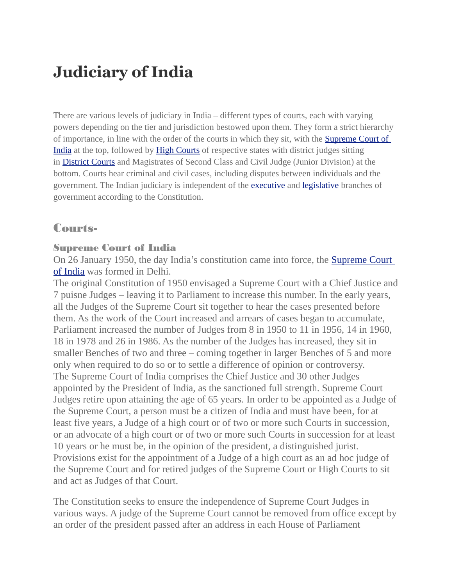# **Judiciary of India**

There are various levels of judiciary in India – different types of courts, each with varying powers depending on the tier and jurisdiction bestowed upon them. They form a strict hierarchy of importance, in line with the order of the courts in which they sit, with the [Supreme Court of](https://en.wikipedia.org/wiki/Supreme_Court_of_India)  [India](https://en.wikipedia.org/wiki/Supreme_Court_of_India) at the top, followed by [High Courts](https://en.wikipedia.org/wiki/High_Courts_of_India) of respective states with district judges sitting in [District Courts](https://en.wikipedia.org/wiki/District_Courts_of_India) and Magistrates of Second Class and Civil Judge (Junior Division) at the bottom. Courts hear criminal and civil cases, including disputes between individuals and the government. The Indian judiciary is independent of the **[executive](https://en.wikipedia.org/wiki/Govt_of_India)** and **[legislative](https://en.wikipedia.org/wiki/Parliament_of_India)** branches of government according to the Constitution.

## Courts-

#### Supreme Court of India

On 26 January 1950, the day India's constitution came into force, the [Supreme Court](https://en.wikipedia.org/wiki/Supreme_Court_of_India)  [of India](https://en.wikipedia.org/wiki/Supreme_Court_of_India) was formed in Delhi.

The original Constitution of 1950 envisaged a Supreme Court with a Chief Justice and 7 puisne Judges – leaving it to Parliament to increase this number. In the early years, all the Judges of the Supreme Court sit together to hear the cases presented before them. As the work of the Court increased and arrears of cases began to accumulate, Parliament increased the number of Judges from 8 in 1950 to 11 in 1956, 14 in 1960, 18 in 1978 and 26 in 1986. As the number of the Judges has increased, they sit in smaller Benches of two and three – coming together in larger Benches of 5 and more only when required to do so or to settle a difference of opinion or controversy. The Supreme Court of India comprises the Chief Justice and 30 other Judges appointed by the President of India, as the sanctioned full strength. Supreme Court Judges retire upon attaining the age of 65 years. In order to be appointed as a Judge of the Supreme Court, a person must be a citizen of India and must have been, for at least five years, a Judge of a high court or of two or more such Courts in succession, or an advocate of a high court or of two or more such Courts in succession for at least 10 years or he must be, in the opinion of the president, a distinguished jurist. Provisions exist for the appointment of a Judge of a high court as an ad hoc judge of the Supreme Court and for retired judges of the Supreme Court or High Courts to sit and act as Judges of that Court.

The Constitution seeks to ensure the independence of Supreme Court Judges in various ways. A judge of the Supreme Court cannot be removed from office except by an order of the president passed after an address in each House of Parliament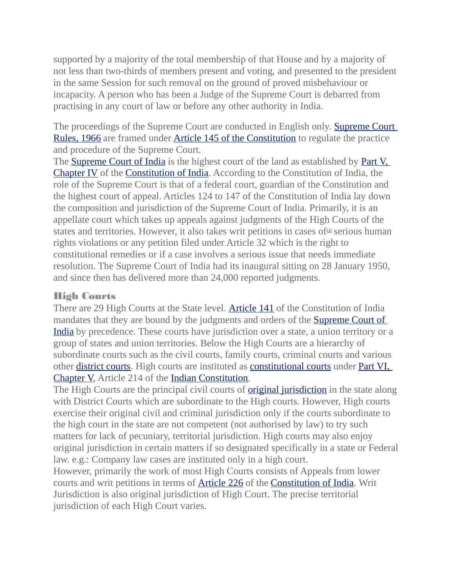supported by a majority of the total membership of that House and by a majority of not less than two-thirds of members present and voting, and presented to the president in the same Session for such removal on the ground of proved misbehaviour or incapacity. A person who has been a Judge of the Supreme Court is debarred from practising in any court of law or before any other authority in India.

The proceedings of the Supreme Court are conducted in English only. [Supreme Court](http://www.supremecourtofindia.nic.in/scrules1966.pdf)  [Rules, 1966](http://www.supremecourtofindia.nic.in/scrules1966.pdf) are framed under [Article 145 of the Constitution](http://www.indiankanoon.org/doc/1537130/) to regulate the practice and procedure of the Supreme Court.

The [Supreme Court of India](https://en.wikipedia.org/wiki/Supreme_Court_of_India) is the highest court of the land as established by [Part V,](https://en.wikisource.org/wiki/Constitution_of_India/Part_V#Chapter_IV_.7BThe_Union_Judiciary.7D)  [Chapter IV](https://en.wikisource.org/wiki/Constitution_of_India/Part_V#Chapter_IV_.7BThe_Union_Judiciary.7D) of the [Constitution of India.](https://en.wikipedia.org/wiki/Constitution_of_India) According to the Constitution of India, the role of the Supreme Court is that of a federal court, guardian of the Constitution and the highest court of appeal. Articles 124 to 147 of the Constitution of India lay down the composition and jurisdiction of the Supreme Court of India. Primarily, it is an appellate court which takes up appeals against judgments of the High Courts of the states and territories. However, it also takes writ petitions in cases of<sup>[\[3\]](https://en.wikipedia.org/wiki/Judiciary_of_India#cite_note-4)</sup> serious human rights violations or any petition filed under Article 32 which is the right to constitutional remedies or if a case involves a serious issue that needs immediate resolution. The Supreme Court of India had its inaugural sitting on 28 January 1950, and since then has delivered more than 24,000 reported judgments.

#### High Courts

There are 29 High Courts at the State level. **[Article 141](https://en.wikisource.org/wiki/Constitution_of_India/Part_V#Article_141_.7BLaw_declared_by_Supreme_Court_to_be_binding_on_all_courts.7D)** of the Constitution of India mandates that they are bound by the judgments and orders of the **Supreme Court of** [India](https://en.wikipedia.org/wiki/Supreme_Court_of_India) by precedence. These courts have jurisdiction over a state, a union territory or a group of states and union territories. Below the High Courts are a hierarchy of subordinate courts such as the civil courts, family courts, criminal courts and various other [district courts.](https://en.wikipedia.org/wiki/District_Courts_of_India) High courts are instituted as [constitutional courts](https://en.wikipedia.org/wiki/Constitutional_court) under [Part VI,](https://en.wikisource.org/wiki/Constitution_of_India/Part_VI#Chapter_V_.7BThe_High_Courts_in_the_States_for_7D)  [Chapter V,](https://en.wikisource.org/wiki/Constitution_of_India/Part_VI#Chapter_V_.7BThe_High_Courts_in_the_States_for_7D) Article 214 of the [Indian Constitution.](https://en.wikipedia.org/wiki/Constitution_of_India)

The High Courts are the principal civil courts of **[original jurisdiction](https://en.wikipedia.org/wiki/Original_jurisdiction)** in the state along with District Courts which are subordinate to the High courts. However, High courts exercise their original civil and criminal jurisdiction only if the courts subordinate to the high court in the state are not competent (not authorised by law) to try such matters for lack of pecuniary, territorial jurisdiction. High courts may also enjoy original jurisdiction in certain matters if so designated specifically in a state or Federal law. e.g.: Company law cases are instituted only in a high court.

However, primarily the work of most High Courts consists of Appeals from lower courts and writ petitions in terms of [Article 226](https://en.wikisource.org/wiki/Constitution_of_India/Part_VI#Article_226_.7BPower_of_High_Courts_to_issue_certain_writs.7D) of the [Constitution of India.](https://en.wikipedia.org/wiki/Constitution_of_India) Writ Jurisdiction is also original jurisdiction of High Court. The precise territorial jurisdiction of each High Court varies.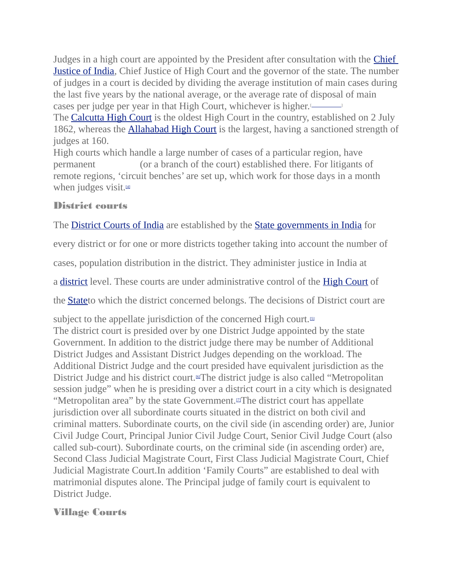Judges in a high court are appointed by the President after consultation with the **Chief** [Justice of India,](https://en.wikipedia.org/wiki/Chief_Justice_of_India) Chief Justice of High Court and the governor of the state. The number of judges in a court is decided by dividing the average institution of main cases during the last five years by the national average, or the average rate of disposal of main cases per judge per year in that High Court, whichever is higher.<sup>[1]</sup>

The [Calcutta High Court](https://en.wikipedia.org/wiki/Calcutta_High_Court) is the oldest High Court in the country, established on 2 July 1862, whereas the **[Allahabad High Court](https://en.wikipedia.org/wiki/Allahabad_High_Court)** is the largest, having a sanctioned strength of judges at 160.

High courts which handle a large number of cases of a particular region, have permanent *belanch* (or a branch of the court) established there. For litigants of remote regions, 'circuit benches' are set up, which work for those days in a month when judges visit.<sup>[\[4\]](https://en.wikipedia.org/wiki/Judiciary_of_India#cite_note-5)</sup>

## District courts

The **[District Courts of India](https://en.wikipedia.org/wiki/District_Courts_of_India)** are established by the **[State governments in India](https://en.wikipedia.org/wiki/State_governments_in_India)** for

every district or for one or more districts together taking into account the number of

cases, population distribution in the district. They administer justice in India at

a [district](https://en.wikipedia.org/wiki/Districts_of_India) level. These courts are under administrative control of the [High Court](https://en.wikipedia.org/wiki/High_Courts_of_India) of

the [Statet](https://en.wikipedia.org/wiki/State_(India))o which the district concerned belongs. The decisions of District court are

subject to the appellate jurisdiction of the concerned High court. $[5]$ The district court is presided over by one District Judge appointed by the state Government. In addition to the district judge there may be number of Additional District Judges and Assistant District Judges depending on the workload. The Additional District Judge and the court presided have equivalent jurisdiction as the District Judge and his district court.<sup>[\[6\]](https://en.wikipedia.org/wiki/Judiciary_of_India#cite_note-District_Courts_of_India_-_official_website-7)</sup>The district judge is also called "Metropolitan session judge" when he is presiding over a district court in a city which is designated "Metropolitan area" by the state Government.<sup>[2]</sup>The district court has appellate jurisdiction over all subordinate courts situated in the district on both civil and criminal matters. Subordinate courts, on the civil side (in ascending order) are, Junior Civil Judge Court, Principal Junior Civil Judge Court, Senior Civil Judge Court (also called sub-court). Subordinate courts, on the criminal side (in ascending order) are, Second Class Judicial Magistrate Court, First Class Judicial Magistrate Court, Chief Judicial Magistrate Court.In addition 'Family Courts" are established to deal with matrimonial disputes alone. The Principal judge of family court is equivalent to District Judge.

## Village Courts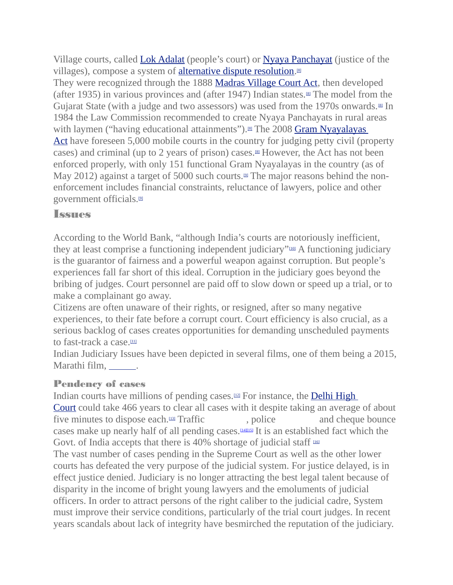Village courts, called [Lok Adalat](https://en.wikipedia.org/wiki/Lok_Adalat) (people's court) or [Nyaya Panchayat](https://en.wikipedia.org/wiki/Nyaya_Panchayat) (justice of the villages), compose a system of **alternative dispute resolution**.<sup>88</sup>

They were recognized through the 1888 [Madras Village Court Act,](https://en.wikipedia.org/w/index.php?title=Madras_Village_Court_Act&action=edit&redlink=1) then developed (after 1935) in various provinces and (after 1947) Indian states.<sup> $\Omega$ </sup> The model from the Gujarat State (with a judge and two assessors) was used from the 1970s onwards. $\mathbb{I}$  In 1984 the Law Commission recommended to create Nyaya Panchayats in rural areas with laymen ("having educational attainments").<sup>[\[8\]](https://en.wikipedia.org/wiki/Judiciary_of_India#cite_note-lay-justice-india-9)</sup> The 2008 Gram Nyayalayas [Act](https://en.wikipedia.org/wiki/Gram_Nyayalayas_Act,_2008) have foreseen 5,000 mobile courts in the country for judging petty civil (property cases) and criminal (up to 2 years of prison) cases.<sup> $\text{M}$ </sup> However, the Act has not been enforced properly, with only 151 functional Gram Nyayalayas in the country (as of May 2012) against a target of 5000 such courts.<sup> $\Omega$ </sup> The major reasons behind the nonenforcement includes financial constraints, reluctance of lawyers, police and other government officials.[\[9\]](https://en.wikipedia.org/wiki/Judiciary_of_India#cite_note-fundcrunchtoi-10)

## Issues

According to the World Bank, "although India's courts are notoriously inefficient, they at least comprise a functioning independent judiciary"<sup>100</sup> A functioning judiciary is the guarantor of fairness and a powerful weapon against corruption. But people's experiences fall far short of this ideal. Corruption in the judiciary goes beyond the bribing of judges. Court personnel are paid off to slow down or speed up a trial, or to make a complainant go away.

Citizens are often unaware of their rights, or resigned, after so many negative experiences, to their fate before a corrupt court. Court efficiency is also crucial, as a serious backlog of cases creates opportunities for demanding unscheduled payments to fast-track a case. $101$ 

Indian Judiciary Issues have been depicted in several films, one of them being a 2015, Marathi film, \_\_\_\_\_\_\_.

### Pendency of cases

Indian courts have millions of pending cases. $\mu$ <sup>2</sup> For instance, the **Delhi High** [Court](https://en.wikipedia.org/wiki/Delhi_High_Court) could take 466 years to clear all cases with it despite taking an average of about five minutes to dispose each.<sup>[\[13\]](https://en.wikipedia.org/wiki/Judiciary_of_India#cite_note-466years-14)</sup> Traffic *channel* , police and cheque bounce cases make up nearly half of all pending cases.[\[14\]](https://en.wikipedia.org/wiki/Judiciary_of_India#cite_note-15)[\[15\]](https://en.wikipedia.org/wiki/Judiciary_of_India#cite_note-16) It is an established fact which the Govt. of India accepts that there is 40% shortage of judicial staff  $160$ 

The vast number of cases pending in the Supreme Court as well as the other lower courts has defeated the very purpose of the judicial system. For justice delayed, is in effect justice denied. Judiciary is no longer attracting the best legal talent because of disparity in the income of bright young lawyers and the emoluments of judicial officers. In order to attract persons of the right caliber to the judicial cadre, System must improve their service conditions, particularly of the trial court judges. In recent years scandals about lack of integrity have besmirched the reputation of the judiciary.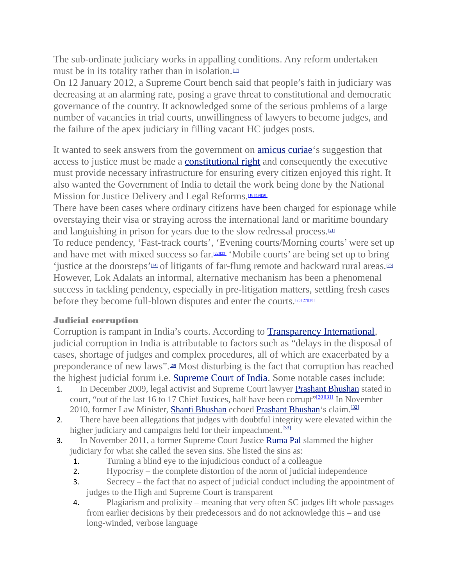The sub-ordinate judiciary works in appalling conditions. Any reform undertaken must be in its totality rather than in isolation. $1/17$ 

On 12 January 2012, a Supreme Court bench said that people's faith in judiciary was decreasing at an alarming rate, posing a grave threat to constitutional and democratic governance of the country. It acknowledged some of the serious problems of a large number of vacancies in trial courts, unwillingness of lawyers to become judges, and the failure of the apex judiciary in filling vacant HC judges posts.

It wanted to seek answers from the government on **amicus curiae**'s suggestion that access to justice must be made a **[constitutional right](https://en.wikipedia.org/wiki/Constitutional_right)** and consequently the executive must provide necessary infrastructure for ensuring every citizen enjoyed this right. It also wanted the Government of India to detail the work being done by the National Mission for Justice Delivery and Legal Reforms.<sup>[\[18\]](https://en.wikipedia.org/wiki/Judiciary_of_India#cite_note-Supreme_Court_chides_itself.2C_govt_for_judicial_backlog-19)[\[19\]](https://en.wikipedia.org/wiki/Judiciary_of_India#cite_note-Reforms_could_see_disposal_of_cases_in_three_years-20)[\[20\]](https://en.wikipedia.org/wiki/Judiciary_of_India#cite_note-Government_sets_up_National_Mission_for_Justice_Delivery-21)</sup>

There have been cases where ordinary citizens have been charged for espionage while overstaying their visa or straying across the international land or maritime boundary and languishing in prison for years due to the slow redressal process.<sup>[\[21\]](https://en.wikipedia.org/wiki/Judiciary_of_India#cite_note-22)</sup>

To reduce pendency, 'Fast-track courts', 'Evening courts/Morning courts' were set up and have met with mixed success so far.<sup>[\[22\]](https://en.wikipedia.org/wiki/Judiciary_of_India#cite_note-23)[\[23\]](https://en.wikipedia.org/wiki/Judiciary_of_India#cite_note-24)</sup> 'Mobile courts' are being set up to bring 'justice at the doorsteps'<sup>[\[24\]](https://en.wikipedia.org/wiki/Judiciary_of_India#cite_note-25)</sup> of litigants of far-flung remote and backward rural areas.<sup>[\[25\]](https://en.wikipedia.org/wiki/Judiciary_of_India#cite_note-26)</sup> However, Lok Adalats an informal, alternative mechanism has been a phenomenal success in tackling pendency, especially in pre-litigation matters, settling fresh cases before they become full-blown disputes and enter the courts.<sup>[\[26\]](https://en.wikipedia.org/wiki/Judiciary_of_India#cite_note-27)[\[27\]](https://en.wikipedia.org/wiki/Judiciary_of_India#cite_note-28)[\[28\]](https://en.wikipedia.org/wiki/Judiciary_of_India#cite_note-29)</sup>

#### Judicial corruption

Corruption is rampant in India's courts. According to [Transparency International,](https://en.wikipedia.org/wiki/Transparency_International) judicial corruption in India is attributable to factors such as "delays in the disposal of cases, shortage of judges and complex procedures, all of which are exacerbated by a preponderance of new laws".[\[29\]](https://en.wikipedia.org/wiki/Judiciary_of_India#cite_note-30) Most disturbing is the fact that corruption has reached the highest judicial forum i.e. [Supreme Court of India.](https://en.wikipedia.org/wiki/Supreme_Court_of_India) Some notable cases include:

- 1. In December 2009, legal activist and Supreme Court lawyer [Prashant Bhushan](https://en.wikipedia.org/wiki/Prashant_Bhushan) stated in court, "out of the last 16 to 17 Chief Justices, half have been corrupt"<sup>[\[30\]](https://en.wikipedia.org/wiki/Judiciary_of_India#cite_note-.27My_Honest_And_Bonafide_Perception.27-31)[\[31\]](https://en.wikipedia.org/wiki/Judiciary_of_India#cite_note-Six_corrupt_CJIs_named_by_Prashant_Bhushan-32)</sup> In November 2010, former Law Minister, [Shanti Bhushan](https://en.wikipedia.org/wiki/Shanti_Bhushan) echoed [Prashant Bhushan'](https://en.wikipedia.org/wiki/Prashant_Bhushan)s claim.<sup>[\[32\]](https://en.wikipedia.org/wiki/Judiciary_of_India#cite_note-Shanti_Bhushan_makes_news_again-33)</sup>
- 2. There have been allegations that judges with doubtful integrity were elevated within the higher judiciary and campaigns held for their impeachment.<sup>[\[33\]](https://en.wikipedia.org/wiki/Judiciary_of_India#cite_note-Wrong_people_sometimes_elevated_to_higher_judiciary:_Ex-CJI_Verma-34)</sup>
- 3. In November 2011, a former Supreme Court Justice [Ruma Pal](https://en.wikipedia.org/wiki/Ruma_Pal) slammed the higher judiciary for what she called the seven sins. She listed the sins as:
	- 1. Turning a blind eye to the injudicious conduct of a colleague
	- 2. Hypocrisy the complete distortion of the norm of judicial independence
	- 3. Secrecy the fact that no aspect of judicial conduct including the appointment of judges to the High and Supreme Court is transparent
	- 4. Plagiarism and prolixity meaning that very often SC judges lift whole passages from earlier decisions by their predecessors and do not acknowledge this – and use long-winded, verbose language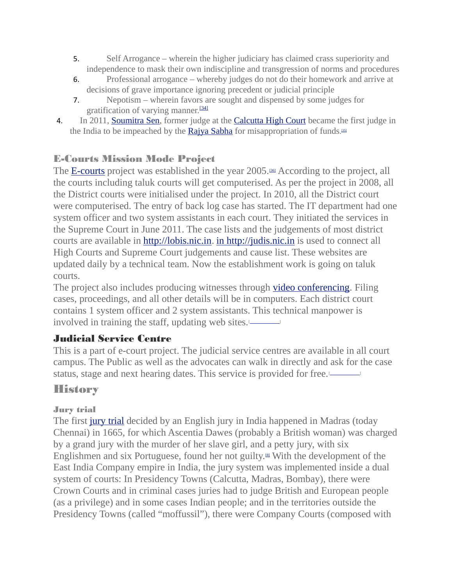- 5. Self Arrogance wherein the higher judiciary has claimed crass superiority and independence to mask their own indiscipline and transgression of norms and procedures
- 6. Professional arrogance whereby judges do not do their homework and arrive at decisions of grave importance ignoring precedent or judicial principle
- 7. Nepotism wherein favors are sought and dispensed by some judges for gratification of varying manner.<sup>[\[34\]](https://en.wikipedia.org/wiki/Judiciary_of_India#cite_note-Former_Indian_Supreme_Court_Justice_Examines_Corruption_in_the_Judiciary-35)</sup>
- 4. In 2011, **Soumitra Sen**, former judge at the **[Calcutta High Court](https://en.wikipedia.org/wiki/Calcutta_High_Court)** became the first judge in the India to be impeached by the **[Rajya Sabha](https://en.wikipedia.org/wiki/Rajya_Sabha)** for misappropriation of funds.

### E-Courts Mission Mode Project

The **[E-courts](https://en.wikipedia.org/w/index.php?title=E-courts&action=edit&redlink=1)** project was established in the year 2005.<sup>[\[36\]](https://en.wikipedia.org/wiki/Judiciary_of_India#cite_note-E-Courts-37)</sup> According to the project, all the courts including taluk courts will get computerised. As per the project in 2008, all the District courts were initialised under the project. In 2010, all the District court were computerised. The entry of back log case has started. The IT department had one system officer and two system assistants in each court. They initiated the services in the Supreme Court in June 2011. The case lists and the judgements of most district courts are available in [http://lobis.nic.in.](http://lobis.nic.in/) [in http://judis.nic.in](http://judis.nic.in/) is used to connect all High Courts and Supreme Court judgements and cause list. These websites are updated daily by a technical team. Now the establishment work is going on taluk courts.

The project also includes producing witnesses through [video conferencing.](https://en.wikipedia.org/wiki/Video_conferencing) Filing cases, proceedings, and all other details will be in computers. Each district court contains 1 system officer and 2 system assistants. This technical manpower is involved in training the staff, updating web sites.<sup>[[*citatorologyce]*]</sup>

## Judicial Service Centre

This is a part of e-court project. The judicial service centres are available in all court campus. The Public as well as the advocates can walk in directly and ask for the case status, stage and next hearing dates. This service is provided for free.<sup>[\[](https://en.wikipedia.org/wiki/Wikipedia:Citation_needed)[*citaton edd* ]</sup>

## **History**

## Jury trial

The first [jury trial](https://en.wikipedia.org/wiki/Jury_trial) decided by an English jury in India happened in Madras (today Chennai) in 1665, for which Ascentia Dawes (probably a British woman) was charged by a grand jury with the murder of her slave girl, and a petty jury, with six Englishmen and six Portuguese, found her not guilty.[\[8\]](https://en.wikipedia.org/wiki/Judiciary_of_India#cite_note-lay-justice-india-9) With the development of the East India Company empire in India, the jury system was implemented inside a dual system of courts: In Presidency Towns (Calcutta, Madras, Bombay), there were Crown Courts and in criminal cases juries had to judge British and European people (as a privilege) and in some cases Indian people; and in the territories outside the Presidency Towns (called "moffussil"), there were Company Courts (composed with